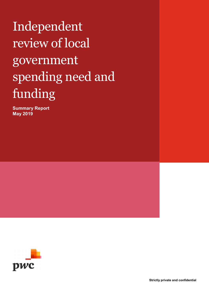Independent review of local government spending need and funding

Summary Report May 2019

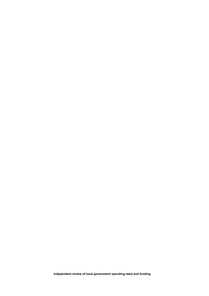Independent review of local government spending need and funding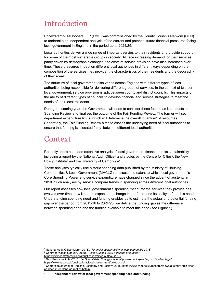# Introduction

PricewaterhouseCoopers LLP (PwC) was commissioned by the County Councils Network (CCN) to undertake an independent analysis of the current and potential future financial pressures facing local government in England in the period up to 2024/25.

Local authorities deliver a wide range of important servies to their residents and provide support for some of the most vulnerable groups in society. All face increasing demand for their services partly driven by demographic changes; the costs of service provision have also increased over time. These pressures impact on different local authorities in different ways depending on the composition of the services they provide, the characteristics of their residents and the geography of their areas.

The structure of local government also varies across England with different types of local authorities being responsible for delivering different groups of services. In the context of two-tier local government, service provision is split between county and district councils. This impacts on the ability of different types of councils to develop financial and service strategies to meet the needs of their local residents.

During the coming year, the Government will need to consider these factors as it conducts its Spending Review and finalises the outcome of the Fair Funding Review. The former will set department expenditure limits, which will determine the overall 'quantum' of resources. Separately, the Fair Funding Review aims to assess the underlying need of local authorities to ensure that funding is allocated fairly between different local authorities.

# **Context**

-

Recently, there has been extensive analysis of local government finance and its sustainability including a report by the National Audit Office<sup>1</sup> and studies by the Centre for Cities<sup>2</sup>, the New Policy Institute<sup>3</sup> and the University of Cambridge<sup>4</sup>.

These analyses typically use historic spending data published by the Ministry of Housing, Communities & Local Government (MHCLG) to assess the extent to which local government's Core Spending Power and service expenditure have changed since the advent of austerity in 2010. Such analyses by service compare trends in spending across different local authorities.

Our report assesses how local government's spending "need" for the services they provide has evolved over time, how it can be expected to change in the future and its ability to fund this need. Understanding spending need and funding enables us to estimate the actual and potential funding gap over the period from 2015/16 to 2024/25: we define the funding gap as the difference between spending need and the funding available to meet this need (see Figure 1).

<sup>&</sup>lt;sup>1</sup> National Audit Office (March 2018), "Financial sustainability of local authorities 2018"

<sup>&</sup>lt;sup>2</sup> Centre for Cities (January 2019), "Cities Outlook 2019 a decade of austerity"

https://www.centreforcities.org/publication/cities-outlook-2019/

 $^3$  New Policy Institute (2018), "A Quiet Crisis: Changes in local government spending on disadvantage" https://www.npi.org.uk/publications/local-government/quiet-crisis/

<sup>&</sup>lt;sup>4</sup> Cambridge Journal of Regions, Economy and Society (2018) https://www.cam.ac.uk/research/news/austerity-cuts-twiceas-deep-in-england-as-rest-of-britain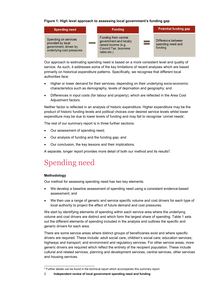## Figure 1: High level approach to assessing local government's funding gap

| <b>Spending need</b>                                                                            | <b>Funding</b>                                                                                                       | <b>Potential funding gap</b>                       |
|-------------------------------------------------------------------------------------------------|----------------------------------------------------------------------------------------------------------------------|----------------------------------------------------|
| Spending on services<br>provided by local<br>government, driven by<br>underlying cost pressures | Funding from central<br>government and locally<br>raised income (e.g.<br><b>Council Tax, business</b><br>rates etc.) | Difference between<br>spending need and<br>funding |

Our approach to estimating spending need is based on a more consistent level and quality of service. As such, it addresses some of the key limitations of recent analyses which are based primarily on historical expenditure patterns. Specifically, we recognise that different local authorities face:

- Higher or lower demand for their services, depending on their underlying socio-economic characteristics such as demography, levels of deprivation and geography; and
- Differences in input costs (for labour and property), which are reflected in the Area Cost Adjustment factors.

Neither factor is reflected in an analysis of historic expenditure. Higher expenditure may be the product of historic funding levels and political choices over desired service levels whilst lower expenditure may be due to lower levels of funding and may fail to recognise 'unmet needs'.

The rest of our summary report is in three further sections:

- Our assessment of spending need;
- Our analysis of funding and the funding gap; and
- Our conclusion, the key lessons and their implications.

A separate, longer report provides more detail of both our method and its results<sup>5</sup>.

# Spending need

#### Methodology

-

Our method for assessing spending need has two key elements:

- We develop a baseline assessment of spending need using a consistent evidence-based assessment; and
- We then use a range of generic and service specific volume and cost drivers for each type of local authority to project the effect of future demand and cost pressures.

We start by identifying elements of spending within each service area where the underlying volume and cost drivers are distinct and which form the largest share of spending. Table 1 sets out the different elements of spending included in the analysis and outlines the specific and generic drivers for each area.

There are some service areas where distinct groups of beneficiaries exist and where specific drivers are required. These include: adult social care; children's social care; education services; highways and transport; and environment and regulatory services. For other service areas, more generic drivers are required which reflect the entirety of the recipient population. These include cultural and related services, planning and development services, central services, other services and housing services.

<sup>&</sup>lt;sup>5</sup> Further details can be found in the technical report which accompanies this summary report.

<sup>2</sup> Independent review of local government spending need and funding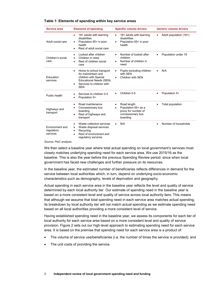| Table 1: Elements of spending within key service areas |  |  |
|--------------------------------------------------------|--|--|
|--------------------------------------------------------|--|--|

| Service area                              | <b>Elements of spending</b>                                                                                                                   | <b>Specific volume drivers</b>                                                             | <b>Generic volume drivers</b> |
|-------------------------------------------|-----------------------------------------------------------------------------------------------------------------------------------------------|--------------------------------------------------------------------------------------------|-------------------------------|
| Adult social care                         | 18+ adults with learning<br>disabilities<br>Population 65+ in poor<br>health<br>Rest of adult social care                                     | 18+ adults with learning<br>disabilities<br>Population 65+ in poor<br>٠<br>health          | Adult population (18+)        |
| Children's social<br>care                 | Looked after children<br>Children in need<br>Rest of children social<br>care                                                                  | Number of looked after<br>$\bullet$<br>children<br>Number of children in<br>need           | Population under 18           |
| Education<br>services                     | Home to school transport<br>for mainstream and<br>children with Special<br>Educational Needs (SEN)<br>Services to children with<br><b>SEN</b> | Pupils excluding children<br>٠<br>with SFN<br>Children with SEN                            | N/A                           |
| Public health                             | Services to children 0-5<br>Population 5+                                                                                                     | Children 0-5                                                                               | Population 5+<br>٠            |
| Highways and<br>transport                 | Road maintenance<br>Concessionary bus<br>boarding<br>Rest of highways and<br>transport                                                        | Road length<br>Population 65+ as a<br>proxy for number of<br>concessionary bus<br>boarding | Total population              |
| Environment and<br>regulatory<br>services | Waste collection services<br>Waste disposal services<br>Recycling<br>Rest of environment and<br>regulatory services                           | N/A                                                                                        | Number of households          |

Source: PwC analysis

We then select a baseline year where total actual spending on local government's services most closely matches underlying spending need for each service area. We use 2015/16 as the baseline. This is also the year before the previous Spending Review period: since when local government has faced new challenges and further pressure on its resources.

In the baseline year, the estimated number of beneficiaries reflects differences in demand for the service between local authorities which, in turn, depend on underlying socio-economic characteristics such as demography, levels of deprivation and geography.

Actual spending in each service area in the baseline year reflects the level and quality of service determined by each local authority tier. Our estimate of spending need in the baseline year is based on a more consistent level and quality of service across local authority tiers. This means that although we assume that total spending need in each service area matches actual spending, its breakdown by local authority tier will not match actual spending as we estimate spending need based on all local authorities providing a more consistent level of service.

Having established spending need in the baseline year, we assess its components for each tier of local authority for each service area based on a more consistent level and quality of service provision. Figure 2 sets out our high-level approach to estimating spending need for each service area. It is based on the premise that spending need for each service area is a product of:

- The volume of service use/beneficiaries (i.e. the number of times the service is provided); and
- The unit costs of providing the service.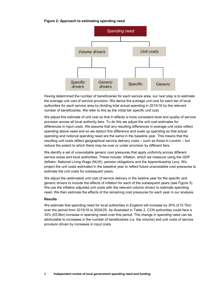#### Figure 2: Approach to estimating spending need



Having determined the number of beneficiaries for each service area, our next step is to estimate the average unit cost of service provision. We derive the average unit cost for each tier of local authorities for each service area by dividing total actual spending in 2015/16 by the relevant number of beneficiaries. We refer to this as the initial tier specific unit cost.

We adjust this estimate of unit cost so that it reflects a more consistent level and quality of service provision across all local authority tiers. To do this we adjust the unit cost estimates for differences in input costs. We assume that any resulting differences in average unit costs reflect spending above need and so we deduct this difference and scale up spending so that actual spending and notional spending need are the same in the baseline year. This means that the resulting unit costs reflect geographical service delivery costs – such as those in London – but reduce the extent to which there may be over or under provision by different tiers.

We identify a set of unavoidable generic cost pressures that apply uniformly across different service areas and local authorities. These include: inflation, which we measure using the GDP deflator; National Living Wage (NLW); pension obligations and the Apprenticeship Levy. We project the unit costs estimated in the baseline year to reflect future unavoidable cost pressures to estimate the unit costs for subsequent years.

We adjust the (estimated) unit cost of service delivery in the basline year for the specific and generic drivers to include the effects of inflation for each of the subsequent years (see Figure 3). We use the inflation adjusted unit costs with the relevant volume drivers to estimate spending need. We then estimate the effects of the remaining cost pressures for each year in our analysis.

#### Results

We estimate that spending need for local authorities in England will increase by 35% (£15.7bn) over the period from 2015/16 to 2024/25. As illustrated in Table 2, CCN authorities could face a 33% (£5.9bn) increase in spending need over this period. The change in spending need can be attributable to increases in the number of beneficiaries (i.e. the volume) and unit costs of service provision driven by increases in input costs.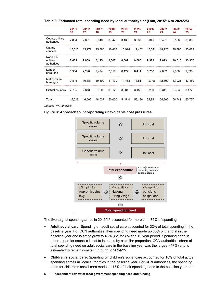|  |  |  | Table 2: Estimated total spending need by local authority tier (£mn, 2015/16 to 2024/25) |
|--|--|--|------------------------------------------------------------------------------------------|
|--|--|--|------------------------------------------------------------------------------------------|

|                                   | 2015/<br>16 | 2016/<br>17 | 2017/<br>18 | 2018/<br>19 | 2019/<br>20 | 2020/<br>21 | 2021/<br>22 | 2022/<br>23 | 2023/<br>24 | 2024/<br>25 |
|-----------------------------------|-------------|-------------|-------------|-------------|-------------|-------------|-------------|-------------|-------------|-------------|
| County unitary<br>authorities     | 2,864       | 2,851       | 2,940       | 3,047       | 3,138       | 3,237       | 3,341       | 3,451       | 3,566       | 3,686       |
| County<br>councils                | 15,015      | 15,272      | 15,766      | 16,408      | 16,928      | 17,482      | 18,081      | 18,720      | 19.385      | 20,083      |
| Non-CCN<br>unitary<br>authorities | 7,623       | 7,959       | 8,195       | 8,547       | 8,807       | 9,083       | 9,379       | 9,693       | 10,018      | 10,357      |
| London<br>boroughs                | 6,904       | 7,270       | 7.494       | 7,856       | 8,127       | 8.414       | 8.716       | 9,032       | 9,358       | 9,695       |
| Metropolitan<br>boroughs          | 9,815       | 10,381      | 10,692      | 11,130      | 11,463      | 11,817      | 12,196      | 12,600      | 13.021      | 13,459      |
| <b>District councils</b>          | 2.795       | 2.873       | 2.950       | 3,012       | 3.081       | 3.153       | 3,230       | 3.311       | 3,393       | 3,477       |
| Total                             | 45,016      | 46,606      | 48,037      | 50,000      | 51,544      | 53,188      | 54,941      | 56,805      | 58,741      | 60,757      |

Source: PwC analysis

|  |  |  | Figure 3: Approach to incorporating unavoidable cost pressures |  |
|--|--|--|----------------------------------------------------------------|--|
|  |  |  |                                                                |  |



The five largest spending areas in 2015/16 accounted for more than 75% of spending:

- Adult social care: Spending on adult social care accounted for 32% of total spending in the baseline year. For CCN authorities, their spending need made up 38% of the total in the baseline year and is set to grow to 43% (£2.9bn) over a 10 year period. Spending need in other upper tier councils is set to increase by a similar proportion. CCN authorities' share of total spending need on adult social care in the baseline year was the largest (47%) and is estimated to remain constant through to 2024/25.
- Children's social care: Spending on children's social care accounted for 18% of total actual spending across all local authorities in the baseline year. For CCN authorities, the spending need for children's social care made up 17% of their spending need in the baseline year and

5 Independent review of local government spending need and funding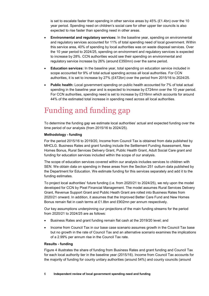is set to escalate faster than spending in other service areas by 45% (£1.4bn) over the 10 year period. Spending need on children's social care for other upper tier councils is also expected to rise faster than spending need in other areas.

- Environmental and regulatory services: In the baseline year, spending on environmental and regulatory services accounted for 11% of total spending need of local government. Within this service area, 40% of spending by local authorities was on waste disposal services. Over the 10 year period to 2024/25, spending on environment and regulatory services is expected to increase by 28%. CCN authorities would see their spending on environmental and regulatory service increase by 26% (around £350mn) over the same period.
- Education services: In the baseline year, total spending on education service included in scope accounted for 9% of total actual spending across all local authorities. For CCN authorities, it is set to increase by 27% (£472bn) over the period from 2015/16 to 2024/25.
- Public health: Local government spending on public health accounted for 7% of total actual spending in the baseline year and is expected to increase by £724mn over the 10 year period. For CCN authorities, spending need is set to increase by £316mn which accounts for around 44% of the estimated total increase in spending need across all local authorities.

# Funding and funding gap

To determine the funding gap we estimate local authorities' actual and expected funding over the time period of our analysis (from 2015/16 to 2024/25).

#### Methodology - funding

For the period 2015/16 to 2019/20, Income from Council Tax is obtained from data published by MHCLG. Business Rates and grant funding include the Settlement Funding Assessment, New Homes Bonus, Rural Services Delivery Grant, Public Health Grant, Adult Social Care grant and funding for education services included within the scope of our analysis.

The scope of education services covered within our analysis includes services to children with SEN. We obtain data on spending in these areas from the Section 251 outturn data published by the Department for Education. We estimate funding for this services separately and add it to the funding estimates.

To project local authorities' future funding (i.e. from 2020/21 to 2024/25), we rely upon the model developed for CCN by Pixel Financial Management. The model assumes Rural Services Delivery Grant, Revenue Support Grant and Public Heath Grant are rolled into Business Rates from 2020/21 onward. In addition, it assumes that the Improved Better Care Fund and New Homes Bonus remain flat in cash terms at £1.8bn and £902mn per annum respectively.

Our key assumptions underpinning our projections of the main funding streams for the period from 2020/21 to 2024/25 are as follows:

- Business Rates and grant funding remain flat cash at the 2019/20 level; and
- Income from Council Tax in our base case scenario assumes growth in the Council Tax base but no growth in the rate of Council Tax and an alternative scenario examines the implications of a 2.99% per annum rise in the Council Tax rate.

#### Results - funding

Figure 4 illustrates the share of funding from Business Rates and grant funding and Council Tax for each local authority tier in the baseline year (2015/16). Income from Council Tax accounts for the majority of funding for county unitary authorities (around 54%) and county councils (around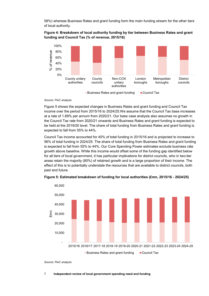58%) whereas Business Rates and grant funding form the main funding stream for the other tiers of local authority.

Figure 4: Breakdown of local authority funding by tier between Business Rates and grant funding and Council Tax (% of revenue, 2015/16)



#### Source: PwC analysis

Figure 5 shows the expected changes in Business Rates and grant funding and Council Tax income over the period from 2015/16 to 2024/25.We assume that the Council Tax base increases at a rate of 1.89% per annum from 2020/21. Our base case analysis also assumes no growth in the Council Tax rate from 2020/21 onwards and Business Rates and grant funding is expected to be held at the 2019/20 level. The share of total funding from Business Rates and grant funding is expected to fall from 55% to 44%.

Council Tax income accounted for 45% of total funding in 2015/16 and is projected to increase to 56% of total funding in 2024/25. The share of total funding from Business Rates and grant funding is expected to fall from 55% to 44%. Our Core Spending Power estimates exclude business rate growth above baseline. While this income would offset some of the funding gap identified below for all tiers of local government, it has particular implications for district councils, who in two-tier areas retain the majority (80%) of retained growth and is a large proportion of their income. The effect of this is to potentially understate the resources that are available to district councils, both past and future.





Source: PwC analysis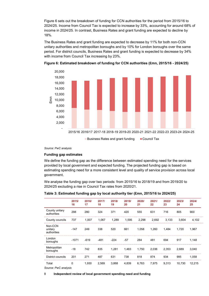Figure 6 sets out the breakdown of funding for CCN authorities for the period from 2015/16 to 2024/25. Income from Council Tax is expected to increase by 33%, accounting for around 68% of income in 2024/25. In contrast, Business Rates and grant funding are expected to decline by 18%.

The Business Rates and grant funding are expected to decrease by 11% for both non-CCN unitary authorities and metropolitan boroughs and by 10% for London boroughs over the same period. For district councils, Business Rates and grant funding is expected to decrease by 34% with income from Council Tax increasing by 23%.





Source: PwC analysis

#### Funding gap estimates

We define the funding gap as the difference between estimated spending need for the services provided by local government and expected funding. The projected funding gap is based on estimating spending need for a more consistent level and quality of service provision across local government.

We analyse the funding gap over two periods: from 2015/16 to 2018/19 and from 2019/20 to 2024/25 excluding a rise in Council Tax rates from 2020/21.

|                                   | 2015/<br>16 | 2016/<br>17 | 2017/<br>18 | 2018/<br>19 | 2019/<br>20 | 2020/<br>21 | 2021/<br>22 | 2022/<br>23 | 2023/<br>24 | 2024/<br>25 |
|-----------------------------------|-------------|-------------|-------------|-------------|-------------|-------------|-------------|-------------|-------------|-------------|
| County unitary<br>authorities     | 298         | 280         | 324         | 371         | 420         | 555         | 631         | 716         | 805         | 900         |
| County councils                   | 737         | 1,007       | 1,067       | 1,289       | 1,595       | 2,298       | 2,692       | 3.133       | 3.604       | 4,102       |
| Non-CCN<br>unitary<br>authorities | $-147$      | 249         | 338         | 520         | 661         | 1.058       | 1,260       | 1.484       | 1,720       | 1,967       |
| London<br>boroughs                | $-1071$     | $-619$      | $-481$      | $-224$      | $-57$       | 284         | 481         | 694         | 917         | 1,148       |
| Metropolitan<br>boroughs          | $-18$       | 742         | 835         | 1.281       | 1.483       | 1.750       | 2.036       | 2.353       | 2.689       | 3,040       |
| District councils                 | 201         | 271         | 487         | 631         | 738         | 818         | 874         | 934         | 995         | 1.058       |
| Total                             | 0           | 1,930       | 2,569       | 3,868       | 4,839       | 6.763       | 7.975       | 9.313       | 10,730      | 12,215      |

Source: PwC analysis

8 Independent review of local government spending need and funding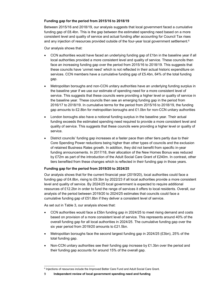# Funding gap for the period from 2015/16 to 2018/19

Between 2015/16 and 2018/19, our analysis suggests that local government faced a cumulative funding gap of £8.4bn. This is the gap between the estimated spending need based on a more consistent level and quality of service and actual funding after accounting for Council Tax rises and any injection of resources provided outside of the four-year local government settlement.<sup>6</sup>

Our analysis shows that:

- CCN authorities would have faced an underlying funding gap of £1bn in the baseline year if all local authorities provided a more consistent level and quality of service. These councils then face an increasing funding gap over the period from 2015/16 to 2018/19. This suggests that these councils have 'unmet need' which is not reflected in their actual historic expenditure on services. CCN members have a cumulative funding gap of £5.4bn, 64% of the total funding gap.
- Metropolitan boroughs and non-CCN unitary authorities have an underlying funding surplus in the baseline year if we use our estimate of spending need for a more consistent level of service. This suggests that these councils were providing a higher level or quality of service in the baseline year. These councils then see an emerging funding gap in the period from 2016/17 to 2018/19. In cumulative terms for the period from 2015/16 to 2018/19, the funding gap amounts to £2.8bn for metropolitan boroughs and £1.0bn for non-CCN unitary authorities
- London boroughs also have a notional funding surplus in the baseline year. Their actual funding exceeds the estimated spending need required to provide a more consistent level and quality of service. This suggests that these councils were providing a higher level or quality of service.
- District councils' funding gap increases at a faster pace than other tiers partly due to their Core Spending Power reductions being higher than other types of councils and the exclusion of retained Business Rates growth. In addition, they did not benefit from specific in-year funding announcements. In 2017/18, their allocation of the New Homes Bonus was reduced by £72m as part of the introduction of the Adult Social Care Grant of £240m. In contrast, other tiers benefited from these changes which is reflected in their funding gap in those years.

# Funding gap for the period from 2019/20 to 2024/25

Our analysis shows that for the current financial year (2019/20), local authorities could face a funding gap of £4.8bn, rising to £9.3bn by 2022/23 if all local authorities provide a more consistent level and quality of service. By 2024/25 local government is expected to require additional resources of £12.2bn in order to fund the range of services it offers to local residents. Overall, our analysis of the period between 2019/20 to 2024/25 estimates that councils could face a cumulative funding gap of £51.8bn if they deliver a consistent level of service.

As set out in Table 3, our analysis shows that:

-

- CCN authorities would face a £5bn funding gap in 2024/25 to meet rising demand and costs based on provision of a more consistent level of service. This represents around 40% of the overall funding gap for all local authorities in 2024/25. The cumulative funding gap over the six year period from 2019/20 amounts to £21.5bn.
- Metropolitan boroughs face the second largest funding gap in 2024/25 (£3bn), 25% of the total funding gap.
- Non-CCN unitary authorities see their funding gap increase by £1.3bn over the period and their funding gap accounts for around 15% of the overall gap.

<sup>&</sup>lt;sup>6</sup> Injections of resources include the Improved Better Care Fund and Adult Social Care Grant.

<sup>9</sup> Independent review of local government spending need and funding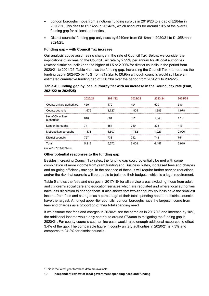- London boroughs move from a notional funding surplus in 2019/20 to a gap of £284m in 2020/21. This rises to £1.14bn in 2024/25, which accounts for around 10% of the overall funding gap for all local authorities.
- District councils' funding gap only rises by £240mn from £818mn in 2020/21 to £1,058mn in 2024/25.

## Funding gap – with Council Tax increase

Our analysis above assumes no change in the rate of Council Tax. Below, we consider the implications of increasing the Council Tax rate by 2.99% per annum for all local authorities (except district councils) and the higher of £5 or 2.99% for district councils in the period from 2020/21 to 2024/25. Table 4 shows the funding gap. Increasing the Council Tax rate reduces the funding gap in 2024/25 by 43% from £12.2bn to £6.9bn although councils would still face an estimated cumulative funding gap of £30.2bn over the period from 2020/21 to 2024/25.

## Table 4: Funding gap by local authority tier with an increase in the Council tax rate (£mn, 2021/22 to 2024/25)

|                                | 2020/21 | 2021/22 | 2022/23 | 2023/24 | 2024/25 |
|--------------------------------|---------|---------|---------|---------|---------|
| County unitary authorities     | 450     | 470     | 494     | 520     | 547     |
| County councils                | 1.675   | 1.727   | 1.805   | 1.889   | 1.978   |
| Non-CCN unitary<br>authorities | 813     | 881     | 961     | 1.045   | 1.131   |
| London boroughs                | 74      | 154     | 240     | 328     | 413     |
| Metropolitan boroughs          | 1.473   | 1.607   | 1.762   | 1.927   | 2.096   |
| District councils              | 727     | 733     | 742     | 748     | 754     |
| Total                          | 5.213   | 5.572   | 6.004   | 6.457   | 6.919   |

Source: PwC analysis

#### Other potential responses to the funding gap

Besides increasing Council Tax rates, the funding gap could potentially be met with some combination of more income from grant funding and Business Rates, increased fees and charges and on-going efficiency savings. In the absence of these, it will require further service reductions and/or the risk that councils will be unable to balance their budgets, which is a legal requirement.

Table 5 shows the fees and charges in 2017/18<sup>7</sup> for all service areas excluding those from adult and children's social care and education services which are regulated and where local authorities have less discretion to change them. It also shows that two-tier county councils have the smallest income from fees and changes as a percentage of their total spending need and district councils have the largest. Amongst upper-tier councils, London boroughs have the largest income from fees and charges as a proportion of their total spending need.

If we assume that fees and charges in 2020/21 are the same as in 2017/18 and increase by 10%, the additional income would only contribute around £730mn to mitigating the funding gap in 2020/21. For county councils such an increase would raise enough additional resources to offset 3.4% of the gap. The comparable figure in county unitary authorities in 2020/21 is 7.3% and compares to 24.2% for district councils.

-

 $7$  This is the latest year for which data are available.

<sup>10</sup> Independent review of local government spending need and funding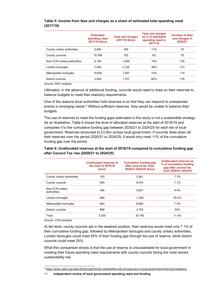## Table 5: Income from fees and charges as a share of estimated total spending need (2017/18)

| <b>Estimated</b><br>spending need<br>2017/18 (£mn) | <b>Fees and charges</b><br>2017/18 (£mn) | <b>Fees and charges</b><br>as % of estimated<br>spending need in<br>2017/18 | Increase in fees<br>and charges in<br>2020/21 |
|----------------------------------------------------|------------------------------------------|-----------------------------------------------------------------------------|-----------------------------------------------|
| 2.940                                              | 326                                      | 11%                                                                         | 33                                            |
| 15.766                                             | 752                                      | .5%                                                                         | 75                                            |
| 8.195                                              | 1.248                                    | 15%                                                                         | 125                                           |
| 7.494                                              | 2.126                                    | 28%                                                                         | 213                                           |
| 10.692                                             | 1.097                                    | 1በ%                                                                         | 110                                           |
| 2.950                                              | 1.757                                    | 60%                                                                         | 176                                           |
|                                                    |                                          |                                                                             |                                               |

Source: PwC analysis

Ultimately, in the absence of additional funding, councils would need to draw on their reserves to balance budgets to meet their statutory requirements.

One of the reasons local authorities hold reserves is so that they can respond to unexpected events or emerging needs.<sup>8</sup> Without sufficient reserves, they would be unable to balance their budgets.

The use of reserves to meet the funding gaps estimated in this study is not a sustainable strategy. As an illustration, Table 6 shows the level of allocated reserves at the start of 2018/19 and compares it to the cumulative funding gap between 2020/21 to 2024/25 for each tier of local government. Reserves amounted to £3.5bn across local government. If councils drew down all their reserves over the period 2020/21 to 2024/25, it would only meet 11% of the cumulative funding gap over the period.

# Table 6: Unallocated reserves at the start of 2018/19 compared to cumulative funding gap after Council Tax rise (2020/21 to 2024/25)

|                                | <b>Unallocated reserves at</b><br>the start of 2018/19<br>$(\text{Emn})$ | <b>Cumulative funding gap</b><br>after council tax rises<br>2020/21-2024/25 (£mn) | <b>Unallocated reserves as</b><br>% of cumulative funding<br>gap after council tax<br>rises 2020/21-2024/25 |
|--------------------------------|--------------------------------------------------------------------------|-----------------------------------------------------------------------------------|-------------------------------------------------------------------------------------------------------------|
| County unitary authorities     | 193                                                                      | 2.481                                                                             | 7 7%                                                                                                        |
| County councils                | 650                                                                      | 9.074                                                                             | $7.1\%$                                                                                                     |
| Non-CCN unitary<br>authorities | 458                                                                      | 4.831                                                                             | 9.4%                                                                                                        |
| London boroughs                | 668                                                                      | 1.209                                                                             | 55 2%                                                                                                       |
| Metropolitan boroughs          | 663                                                                      | 8.865                                                                             | 74%                                                                                                         |
| District councils              | 898                                                                      | 3.704                                                                             | 24%                                                                                                         |
| Total                          | 3.530                                                                    | 30.165                                                                            | 114%                                                                                                        |
| Source: CCN analysis           |                                                                          |                                                                                   |                                                                                                             |

Source: CCN analysis

-

At tier level, county councils are in the weakest position: their reserves would meet only 7.1% of their cumulative funding gap, followed by Metropolitan boroughs and county unitary authorities., London boroughs could meet 55% of their funding gap through the use of reserve, while district councils could meet 25%.

What this comparison shows is that the use of reserve is unsustainable for local government in meeting their future spending need requirements with county councils facing the most severe sustainability risk.

<sup>&</sup>lt;sup>8</sup> https://www.cipfa.org/cipfa-thinks/cipfa-thinks-articles/the-role-of-reserves-in-local-government-financial-resilience

<sup>11</sup> Independent review of local government spending need and funding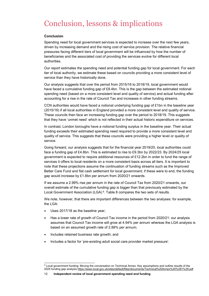# Conclusion, lessons & implications

#### Conclusion

Spending need for local government services is expected to increase over the next few years, driven by increasing demand and the rising cost of service provision. The relative financial pressures facing different tiers of local government will be influenced by how the number of beneficiaries and the associated cost of providing the services evolve for different local authorities.

Our report estimates the spending need and potential funding gap for local government. For each tier of local authority, we estimate these based on councils providing a more consistent level of service than they have historically done.

Our analysis suggests that over the period from 2015/16 to 2018/19, local government would have faced a cumulative funding gap of £8.4bn. This is the gap between the estimated notional spending need (based on a more consistent level and quality of service) and actual funding after accounting for a rise in the rate of Council Tax and increases in other funding streams.

CCN authorities would have faced a notional underlying funding gap of £1bn in the baseline year (2015/16) if all local authorities in England provided a more consistent level and quality of service. These councils then face an increasing funding gap over the period to 2018/19. This suggests that they have 'unmet need' which is not reflected in their actual historic expenditure on services.

In contrast, London boroughs have a notional funding surplus in the baseline year. Their actual funding exceeds their estimated spending need required to provide a more consistent level and quality of service. This suggests that these councils were providing a higher level or quality of service.

Going forward, our analysis suggests that for the financial year 2019/20, local authorities could face a funding gap of £4.8bn. This is estimated to rise to £9.3bn by 2022/23. By 2024/25 local government is expected to require additional resources of £12.2bn in order to fund the range of services it offers to local residents on a more consistent basis across all tiers. It is important to note that these projections assume the continuation of funding streams such as the Improved Better Care Fund and flat cash settlement for local government; if these were to end, the funding gap would increase by £1.8bn per annum from 2020/21 onwards.

If we assume a 2.99% rise per annum in the rate of Council Tax from 2020/21 onwards, our overall estimate of the cumulative funding gap is bigger than that previously estimated by the Local Government Association (LGA)<sup>9</sup>. Table 8 compares the two sets of results.

We note, however, that there are important differences between the two analyses: for example, the LGA:

Uses 2017/18 as the baseline year;

-

- Has a lower rate of growth of Council Tax income in the period from 2020/21: our analysis assumes that Council Tax income will grow at 4.94% per annum whereas the LGA analysis is based on an assumed growth rate of 2.88% per annum;
- Includes retained business rate growth; and
- Includes a factor for 'pre-existing adult social care provider market pressure'.

<sup>9</sup> Local government funding: Moving the conversation on Technical Annex: Key assumptions and outline results of the 2025 funding gap analysis https://www.local.gov.uk/sites/default/files/documents/Technical%20Annex%20%281%29.pdf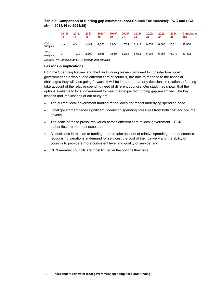|                           |  | Table 8: Comparison of funding gap estimates (post Council Tax increase): PwC and LGA |  |
|---------------------------|--|---------------------------------------------------------------------------------------|--|
| (£mn, 2015/16 to 2024/25) |  |                                                                                       |  |

|                        | 2015/<br>16 | 2016/<br>17 | 2017/<br>18 | 2018/<br>19 | 2019/<br>20 | 2020/<br>21 | 2021/<br>22 | 2022/<br>23 | 2023/<br>24 | 2024/<br>25 | Cumulative<br>gap |
|------------------------|-------------|-------------|-------------|-------------|-------------|-------------|-------------|-------------|-------------|-------------|-------------------|
| LGA<br>analysis        | n/a         | n/a         | 1.449       | 2,662       | 3.854       | 4.765       | 5.345       | 6.054       | 6.883       | 7.814       | 38.826            |
| <b>PwC</b><br>analysis |             | 1.930       | 2.569       | 3,868       | 4,839       | 5,213       | 5,572       | 6.004       | 6.457       | 6.919       | 43.372            |

Source: PwC analysis and LGA funding gap analysis

#### Lessons & implications

Both the Spending Review and the Fair Funding Review will need to consider how local government as a whole, and different tiers of councils, are able to respond to the financial challenges they will face going forward. It will be important that any decisions in relation to funding take account of the relative spending need of different councils. Our study has shown that the options available to local government to meet their expected funding gap are limited. The key lessons and implications of our study are:

- The current local government funding model does not reflect underlying spending need;
- Local government faces significant underlying spending pressures from both cost and volume drivers;
- The scale of these pressures varies across different tiers of local government CCN authorities are the most exposed;
- All decisions in relation to funding need to take account of relative spending need of councils, recognising variations in demand for services, the cost of their delivery and the ability of councils to provide a more consistent level and quality of service; and
- CCN member councils are most limited in the options they face.